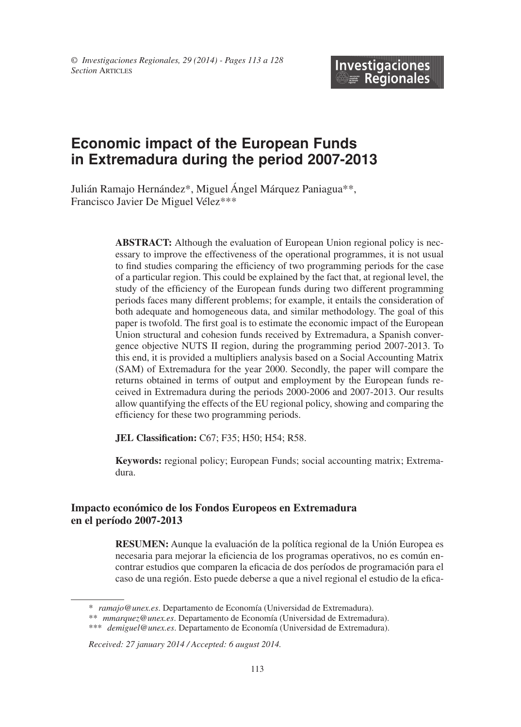# **Economic impact of the European Funds in Extremadura during the period 2007-2013**

Julián Ramajo Hernández\*, Miguel Ángel Márquez Paniagua\*\*, Francisco Javier De Miguel Vélez\*\*\*

> **ABSTRACT:** Although the evaluation of European Union regional policy is necessary to improve the effectiveness of the operational programmes, it is not usual to find studies comparing the efficiency of two programming periods for the case of a particular region. This could be explained by the fact that, at regional level, the study of the efficiency of the European funds during two different programming periods faces many different problems; for example, it entails the consideration of both adequate and homogeneous data, and similar methodology. The goal of this paper is twofold. The first goal is to estimate the economic impact of the European Union structural and cohesion funds received by Extremadura, a Spanish convergence objective NUTS II region, during the programming period 2007-2013. To this end, it is provided a multipliers analysis based on a Social Accounting Matrix (SAM) of Extremadura for the year 2000. Secondly, the paper will compare the returns obtained in terms of output and employment by the European funds received in Extremadura during the periods 2000-2006 and 2007-2013. Our results allow quantifying the effects of the EU regional policy, showing and comparing the efficiency for these two programming periods.

**JEL Classification:** C67; F35; H50; H54; R58.

**Keywords:** regional policy; European Funds; social accounting matrix; Extremadura.

#### **Impacto económico de los Fondos Europeos en Extremadura en el período 2007-2013**

**RESUMEn:** Aunque la evaluación de la política regional de la Unión Europea es necesaria para mejorar la eficiencia de los programas operativos, no es común encontrar estudios que comparen la eficacia de dos períodos de programación para el caso de una región. Esto puede deberse a que a nivel regional el estudio de la efica

<sup>\*</sup> *ramajo@unex.es*. Departamento de Economía (Universidad de Extremadura).

<sup>\*\*</sup> *mmarquez@unex.es*. Departamento de Economía (Universidad de Extremadura).

<sup>\*\*\*</sup> *demiguel@unex.es*. Departamento de Economía (Universidad de Extremadura).

*Received: 27 january 2014 / Accepted: 6 august 2014.*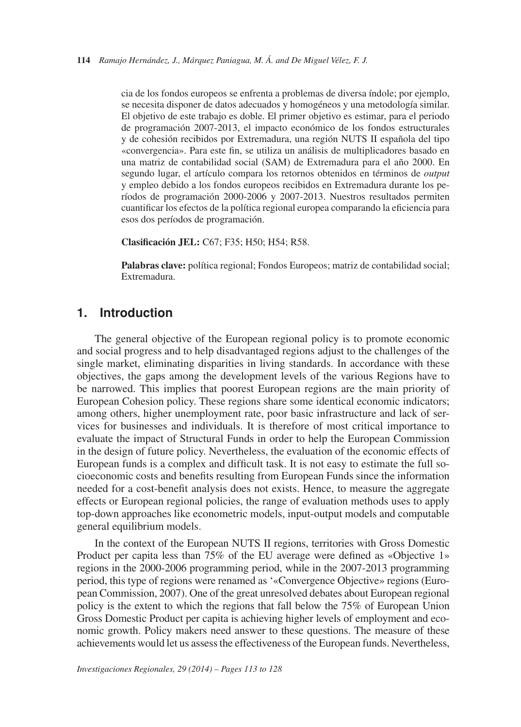cia de los fondos europeos se enfrenta a problemas de diversa índole; por ejemplo, se necesita disponer de datos adecuados y homogéneos y una metodología similar. El objetivo de este trabajo es doble. El primer objetivo es estimar, para el periodo de programación 2007-2013, el impacto económico de los fondos estructurales y de cohesión recibidos por Extremadura, una región NUTS II española del tipo «convergencia». Para este fin, se utiliza un análisis de multiplicadores basado en una matriz de contabilidad social (SAM) de Extremadura para el año 2000. En segundo lugar, el artículo compara los retornos obtenidos en términos de *output* y empleo debido a los fondos europeos recibidos en Extremadura durante los períodos de programación 2000-2006 y 2007-2013. Nuestros resultados permiten cuantificar los efectos de la política regional europea comparando la eficiencia para esos dos períodos de programación.

**Clasificación JEL:** C67; F35; H50; H54; R58.

**Palabras clave:** política regional; Fondos Europeos; matriz de contabilidad social; Extremadura.

## **1. Introduction**

The general objective of the European regional policy is to promote economic and social progress and to help disadvantaged regions adjust to the challenges of the single market, eliminating disparities in living standards. In accordance with these objectives, the gaps among the development levels of the various Regions have to be narrowed. This implies that poorest European regions are the main priority of European Cohesion policy. These regions share some identical economic indicators; among others, higher unemployment rate, poor basic infrastructure and lack of services for businesses and individuals. It is therefore of most critical importance to evaluate the impact of Structural Funds in order to help the European Commission in the design of future policy. Nevertheless, the evaluation of the economic effects of European funds is a complex and difficult task. It is not easy to estimate the full socioeconomic costs and benefits resulting from European Funds since the information needed for a cost-benefit analysis does not exists. Hence, to measure the aggregate effects or European regional policies, the range of evaluation methods uses to apply top-down approaches like econometric models, input-output models and computable general equilibrium models.

In the context of the European NUTS II regions, territories with Gross Domestic Product per capita less than 75% of the EU average were defined as «Objective 1» regions in the 2000-2006 programming period, while in the 2007-2013 programming period, this type of regions were renamed as '«Convergence Objective» regions (European Commission, 2007). One of the great unresolved debates about European regional policy is the extent to which the regions that fall below the 75% of European Union Gross Domestic Product per capita is achieving higher levels of employment and economic growth. Policy makers need answer to these questions. The measure of these achievements would let us assess the effectiveness of the European funds. Nevertheless,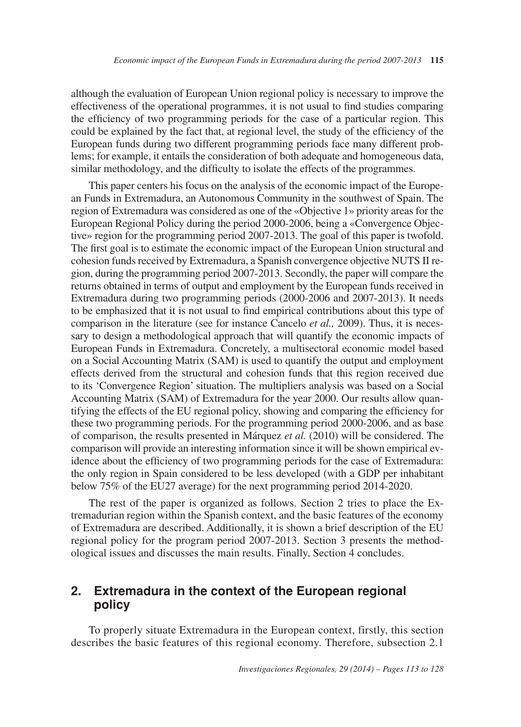although the evaluation of European Union regional policy is necessary to improve the effectiveness of the operational programmes, it is not usual to find studies comparing the efficiency of two programming periods for the case of a particular region. This could be explained by the fact that, at regional level, the study of the efficiency of the European funds during two different programming periods face many different problems; for example, it entails the consideration of both adequate and homogeneous data, similar methodology, and the difficulty to isolate the effects of the programmes.

This paper centers his focus on the analysis of the economic impact of the European Funds in Extremadura, an Autonomous Community in the southwest of Spain. The region of Extremadura was considered as one of the «Objective 1» priority areas for the European Regional Policy during the period 2000-2006, being a «Convergence Objective» region for the programming period 2007-2013. The goal of this paper is twofold. The first goal is to estimate the economic impact of the European Union structural and cohesion funds received by Extremadura, a Spanish convergence objective NUTS II region, during the programming period 2007-2013. Secondly, the paper will compare the returns obtained in terms of output and employment by the European funds received in Extremadura during two programming periods (2000-2006 and 2007-2013). It needs to be emphasized that it is not usual to find empirical contributions about this type of comparison in the literature (see for instance Cancelo *et al.,* 2009). Thus, it is necessary to design a methodological approach that will quantify the economic impacts of European Funds in Extremadura. Concretely, a multisectoral economic model based on a Social Accounting Matrix (SAM) is used to quantify the output and employment effects derived from the structural and cohesion funds that this region received due to its 'Convergence Region' situation. The multipliers analysis was based on a Social Accounting Matrix (SAM) of Extremadura for the year 2000. Our results allow quantifying the effects of the EU regional policy, showing and comparing the efficiency for these two programming periods. For the programming period 2000-2006, and as base of comparison, the results presented in Márquez *et al.* (2010) will be considered. The comparison will provide an interesting information since it will be shown empirical evidence about the efficiency of two programming periods for the case of Extremadura: the only region in Spain considered to be less developed (with a GDP per inhabitant below 75% of the EU27 average) for the next programming period 2014-2020.

The rest of the paper is organized as follows. Section 2 tries to place the Extremadurian region within the Spanish context, and the basic features of the economy of Extremadura are described. Additionally, it is shown a brief description of the EU regional policy for the program period 2007-2013. Section 3 presents the methodological issues and discusses the main results. Finally, Section 4 concludes.

#### $2.$ **Extremadura in the context of the European regional policy**

To properly situate Extremadura in the European context, firstly, this section describes the basic features of this regional economy. Therefore, subsection 2.1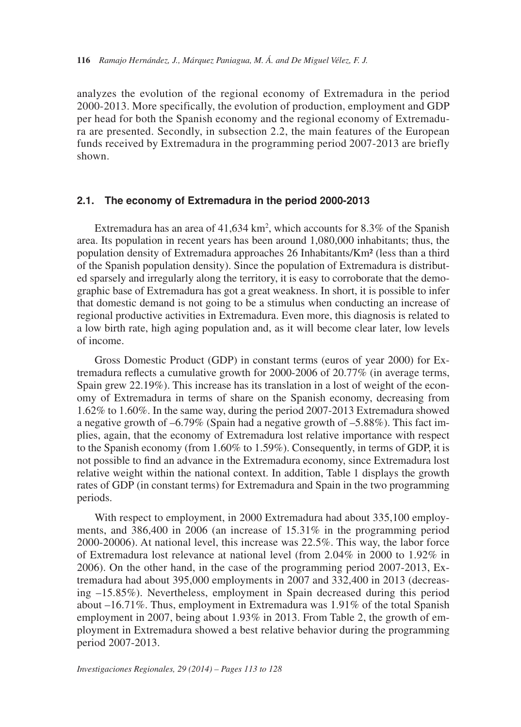analyzes the evolution of the regional economy of Extremadura in the period 2000-2013. More specifically, the evolution of production, employment and GDP per head for both the Spanish economy and the regional economy of Extremadura are presented. Secondly, in subsection 2.2, the main features of the European funds received by Extremadura in the programming period 2007-2013 are briefly shown.

#### **2.1. The economy of Extremadura in the period 2000-2013**

Extremadura has an area of  $41,634 \text{ km}^2$ , which accounts for 8.3% of the Spanish area. Its population in recent years has been around 1,080,000 inhabitants; thus, the population density of Extremadura approaches 26 Inhabitants/Km² (less than a third of the Spanish population density). Since the population of Extremadura is distributed sparsely and irregularly along the territory, it is easy to corroborate that the demographic base of Extremadura has got a great weakness. In short, it is possible to infer that domestic demand is not going to be a stimulus when conducting an increase of regional productive activities in Extremadura. Even more, this diagnosis is related to a low birth rate, high aging population and, as it will become clear later, low levels of income.

Gross Domestic Product (GDP) in constant terms (euros of year 2000) for Extremadura reflects a cumulative growth for 2000-2006 of 20.77% (in average terms, Spain grew 22.19%). This increase has its translation in a lost of weight of the economy of Extremadura in terms of share on the Spanish economy, decreasing from 1.62% to 1.60%. In the same way, during the period 2007-2013 Extremadura showed a negative growth of –6.79% (Spain had a negative growth of –5.88%). This fact implies, again, that the economy of Extremadura lost relative importance with respect to the Spanish economy (from 1.60% to 1.59%). Consequently, in terms of GDP, it is not possible to find an advance in the Extremadura economy, since Extremadura lost relative weight within the national context. In addition, Table 1 displays the growth rates of GDP (in constant terms) for Extremadura and Spain in the two programming periods.

With respect to employment, in 2000 Extremadura had about 335,100 employments, and 386,400 in 2006 (an increase of 15.31% in the programming period 2000-20006). At national level, this increase was 22.5%. This way, the labor force of Extremadura lost relevance at national level (from 2.04% in 2000 to 1.92% in 2006). On the other hand, in the case of the programming period 2007-2013, Extremadura had about 395,000 employments in 2007 and 332,400 in 2013 (decreasing –15.85%). Nevertheless, employment in Spain decreased during this period about –16.71%. Thus, employment in Extremadura was 1.91% of the total Spanish employment in 2007, being about 1.93% in 2013. From Table 2, the growth of employment in Extremadura showed a best relative behavior during the programming period 2007-2013.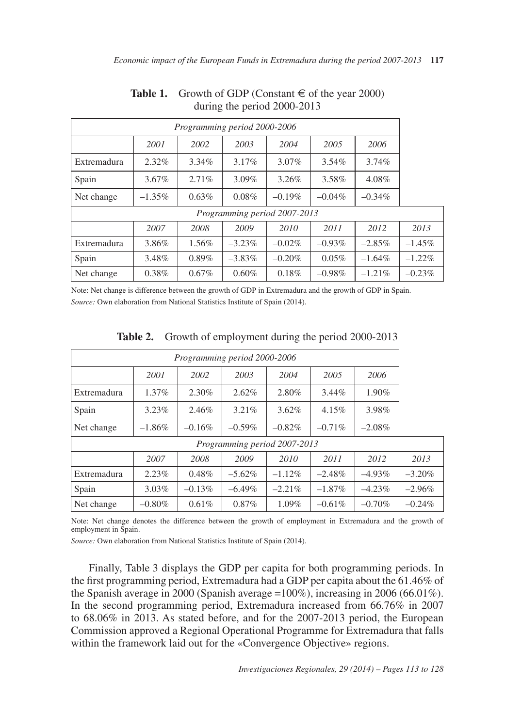| Programming period 2000-2006                                                        |                                                                                    |          |           |          |           |           |  |  |  |  |
|-------------------------------------------------------------------------------------|------------------------------------------------------------------------------------|----------|-----------|----------|-----------|-----------|--|--|--|--|
|                                                                                     | 2001                                                                               | 2002     | 2003      | 2004     | 2005      | 2006      |  |  |  |  |
| Extremadura                                                                         | $2.32\%$                                                                           | $3.34\%$ | $3.17\%$  | $3.07\%$ | $3.54\%$  | $3.74\%$  |  |  |  |  |
| Spain                                                                               | $3.67\%$<br>$2.71\%$<br>$3.09\%$<br>3.26%<br>3.58%<br>4.08%                        |          |           |          |           |           |  |  |  |  |
| $0.63\%$<br>0.08%<br>$-0.19\%$<br>$-0.04\%$<br>$-1.35\%$<br>$-0.34\%$<br>Net change |                                                                                    |          |           |          |           |           |  |  |  |  |
| Programming period 2007-2013                                                        |                                                                                    |          |           |          |           |           |  |  |  |  |
| 2007<br>2008<br>2009<br>2010<br>2011<br>2012<br>2013                                |                                                                                    |          |           |          |           |           |  |  |  |  |
| Extremadura                                                                         | $1.56\%$<br>$-0.02\%$<br>$-0.93\%$<br>3.86%<br>$-3.23\%$<br>$-2.85\%$<br>$-1.45\%$ |          |           |          |           |           |  |  |  |  |
| Spain                                                                               | 3.48%                                                                              | $0.89\%$ | $-3.83\%$ | $-0.20%$ | $0.05\%$  | $-1.64\%$ |  |  |  |  |
| Net change                                                                          | $0.38\%$                                                                           | $0.67\%$ | 0.60%     | 0.18%    | $-0.98\%$ | $-1.21\%$ |  |  |  |  |

## **Table 1.** Growth of GDP (Constant  $\in$  of the year 2000) during the period 2000-2013

Note: Net change is difference between the growth of GDP in Extremadura and the growth of GDP in Spain. *Source:* Own elaboration from National Statistics Institute of Spain (2014).

| Programming period 2000-2006                         |                                                                         |           |           |           |           |           |           |  |  |  |  |
|------------------------------------------------------|-------------------------------------------------------------------------|-----------|-----------|-----------|-----------|-----------|-----------|--|--|--|--|
|                                                      | 2001                                                                    | 2002      | 2003      | 2004      | 2005      | 2006      |           |  |  |  |  |
| Extremadura                                          | $1.37\%$                                                                | 2.30%     | 2.62%     | 2.80%     | $3.44\%$  | 1.90%     |           |  |  |  |  |
| Spain                                                | 3.23%<br>2.46%<br>3.98%<br>3.21%<br>$3.62\%$<br>4.15%                   |           |           |           |           |           |           |  |  |  |  |
| Net change                                           | $-0.59\%$<br>$-0.71\%$<br>$-1.86%$<br>$-0.16%$<br>$-0.82%$<br>$-2.08\%$ |           |           |           |           |           |           |  |  |  |  |
| Programming period 2007-2013                         |                                                                         |           |           |           |           |           |           |  |  |  |  |
| 2012<br>2007<br>2008<br>2009<br>2010<br>2011<br>2013 |                                                                         |           |           |           |           |           |           |  |  |  |  |
| Extremadura                                          | 2.23%                                                                   | $0.48\%$  | $-5.62\%$ | $-1.12%$  | $-2.48\%$ | $-4.93\%$ | $-3.20\%$ |  |  |  |  |
| Spain                                                | 3.03%                                                                   | $-0.13\%$ | $-6.49\%$ | $-2.21\%$ | $-1.87\%$ | $-4.23\%$ | $-2.96%$  |  |  |  |  |
| Net change                                           | $-0.80%$                                                                | 0.61%     | $0.87\%$  | 1.09%     | $-0.61\%$ | $-0.70%$  | $-0.24\%$ |  |  |  |  |

**Table 2.** Growth of employment during the period 2000-2013

Note: Net change denotes the difference between the growth of employment in Extremadura and the growth of employment in Spain.

*Source:* Own elaboration from National Statistics Institute of Spain (2014).

Finally, Table 3 displays the GDP per capita for both programming periods. In the first programming period, Extremadura had a GDP per capita about the 61.46% of the Spanish average in 2000 (Spanish average =100%), increasing in 2006 (66.01%). In the second programming period, Extremadura increased from 66.76% in 2007 to 68.06% in 2013. As stated before, and for the 2007-2013 period, the European Commission approved a Regional Operational Programme for Extremadura that falls within the framework laid out for the «Convergence Objective» regions.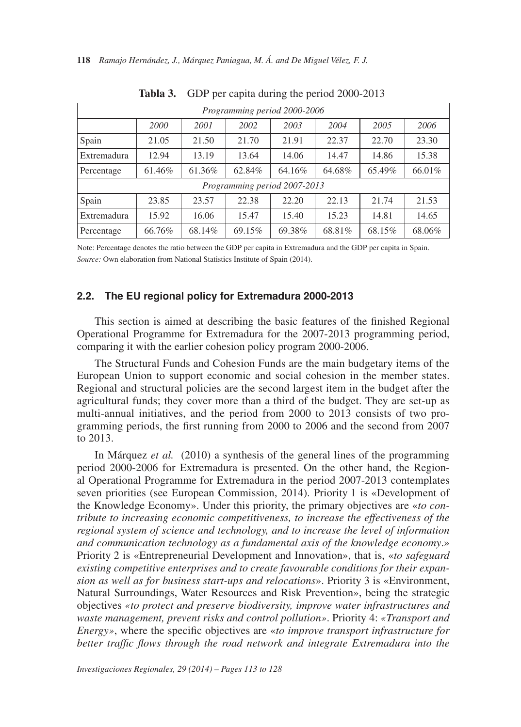|                              | Programming period 2000-2006                                       |        |        |        |        |        |        |  |  |  |  |
|------------------------------|--------------------------------------------------------------------|--------|--------|--------|--------|--------|--------|--|--|--|--|
|                              | 2000                                                               | 2001   | 2002   | 2003   | 2004   | 2005   | 2006   |  |  |  |  |
| Spain                        | 21.05                                                              | 21.50  | 21.70  | 21.91  | 22.37  | 22.70  | 23.30  |  |  |  |  |
| Extremadura                  | 12.94<br>15.38<br>13.19<br>13.64<br>14.06<br>14.47<br>14.86        |        |        |        |        |        |        |  |  |  |  |
| Percentage                   | 64.68%<br>66.01%<br>61.46%<br>61.36%<br>62.84%<br>64.16%<br>65.49% |        |        |        |        |        |        |  |  |  |  |
| Programming period 2007-2013 |                                                                    |        |        |        |        |        |        |  |  |  |  |
| Spain                        | 23.85                                                              | 23.57  | 22.38  | 22.20  | 22.13  | 21.74  | 21.53  |  |  |  |  |
| Extremadura                  | 15.92                                                              | 16.06  | 15.47  | 15.40  | 15.23  | 14.81  | 14.65  |  |  |  |  |
| Percentage                   | 66.76%                                                             | 68.14% | 69.15% | 69.38% | 68.81% | 68.15% | 68.06% |  |  |  |  |

**Tabla 3.** GDP per capita during the period 2000-2013

Note: Percentage denotes the ratio between the GDP per capita in Extremadura and the GDP per capita in Spain. *Source:* Own elaboration from National Statistics Institute of Spain (2014).

#### **2.2. The EU regional policy for Extremadura 2000-2013**

This section is aimed at describing the basic features of the finished Regional Operational Programme for Extremadura for the 2007-2013 programming period, comparing it with the earlier cohesion policy program 2000-2006.

The Structural Funds and Cohesion Funds are the main budgetary items of the European Union to support economic and social cohesion in the member states. Regional and structural policies are the second largest item in the budget after the agricultural funds; they cover more than a third of the budget. They are set-up as multi-annual initiatives, and the period from 2000 to 2013 consists of two programming periods, the first running from 2000 to 2006 and the second from 2007 to 2013.

In Márquez *et al.* (2010) a synthesis of the general lines of the programming period 2000-2006 for Extremadura is presented. On the other hand, the Regional Operational Programme for Extremadura in the period 2007-2013 contemplates seven priorities (see European Commission, 2014). Priority 1 is «Development of the Knowledge Economy». Under this priority, the primary objectives are «*to contribute to increasing economic competitiveness, to increase the effectiveness of the regional system of science and technology, and to increase the level of information and communication technology as a fundamental axis of the knowledge economy*.» Priority 2 is «Entrepreneurial Development and Innovation», that is, «*to safeguard existing competitive enterprises and to create favourable conditions for their expansion as well as for business start-ups and relocations*». Priority 3 is «Environment, Natural Surroundings, Water Resources and Risk Prevention», being the strategic objectives *«to protect and preserve biodiversity, improve water infrastructures and waste management, prevent risks and control pollution»*. Priority 4: *«Transport and Energy»*, where the specific objectives are «*to improve transport infrastructure for better traffic flows through the road network and integrate Extremadura into the*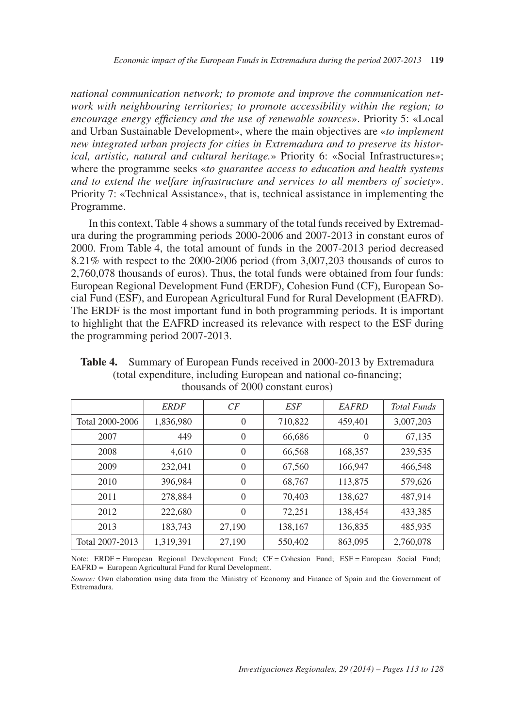*encourage energy efficiency and the use of renewable sources*». Priority 5: «Local *national communication network; to promote and improve the communication network with neighbouring territories; to promote accessibility within the region; to* and Urban Sustainable Development», where the main objectives are «*to implement new integrated urban projects for cities in Extremadura and to preserve its historical, artistic, natural and cultural heritage.*» Priority 6: «Social Infrastructures»; where the programme seeks «*to guarantee access to education and health systems and to extend the welfare infrastructure and services to all members of society*». Priority 7: «Technical Assistance», that is, technical assistance in implementing the Programme.

In this context, Table 4 shows a summary of the total funds received by Extremadura during the programming periods 2000-2006 and 2007-2013 in constant euros of 2000. From Table 4, the total amount of funds in the 2007-2013 period decreased 8.21% with respect to the 2000-2006 period (from 3,007,203 thousands of euros to 2,760,078 thousands of euros). Thus, the total funds were obtained from four funds: European Regional Development Fund (ERDF), Cohesion Fund (CF), European Social Fund (ESF), and European Agricultural Fund for Rural Development (EAFRD). The ERDF is the most important fund in both programming periods. It is important to highlight that the EAFRD increased its relevance with respect to the ESF during the programming period 2007-2013.

**Table 4.** Summary of European Funds received in 2000-2013 by Extremadura (total expenditure, including European and national co-financing; thousands of 2000 constant euros)

|                 | <b>ERDF</b> | CF             | ESF     | <b>EAFRD</b> | <b>Total Funds</b> |
|-----------------|-------------|----------------|---------|--------------|--------------------|
| Total 2000-2006 | 1,836,980   | $\overline{0}$ | 710,822 | 459,401      | 3,007,203          |
| 2007            | 449         | $\overline{0}$ | 66,686  | $\theta$     | 67,135             |
| 2008            | 4,610       | $\Omega$       | 66,568  | 168,357      | 239,535            |
| 2009            | 232,041     | $\overline{0}$ | 67,560  | 166,947      | 466,548            |
| 2010            | 396.984     | $\Omega$       | 68.767  | 113,875      | 579,626            |
| 2011            | 278,884     | $\Omega$       | 70.403  | 138,627      | 487,914            |
| 2012            | 222,680     | $\Omega$       | 72,251  | 138,454      | 433,385            |
| 2013            | 183,743     | 27,190         | 138,167 | 136,835      | 485,935            |
| Total 2007-2013 | 1,319,391   | 27,190         | 550,402 | 863,095      | 2,760,078          |

 Note: ERDF = European Regional Development Fund; CF = Cohesion Fund; ESF = European Social Fund; EAFRD = European Agricultural Fund for Rural Development.

*Source:* Own elaboration using data from the Ministry of Economy and Finance of Spain and the Government of Extremadura.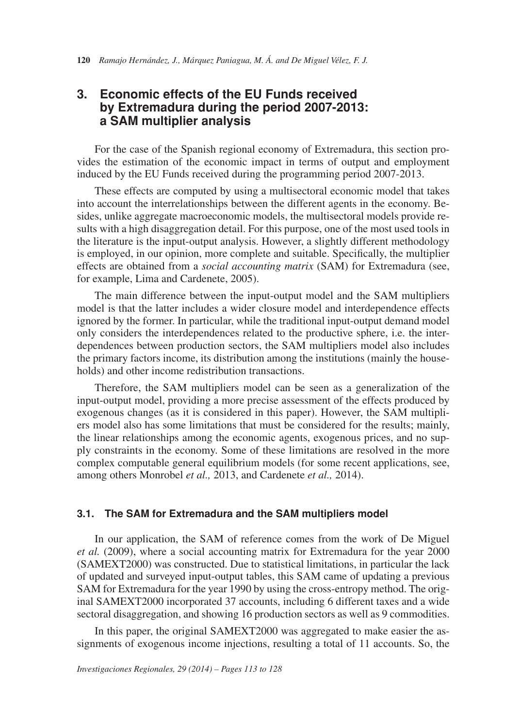## **3. Economic effects of the EU Funds received by Extremadura during the period 2007-2013: a SAM multiplier analysis**

For the case of the Spanish regional economy of Extremadura, this section provides the estimation of the economic impact in terms of output and employment induced by the EU Funds received during the programming period 2007-2013.

These effects are computed by using a multisectoral economic model that takes into account the interrelationships between the different agents in the economy. Besides, unlike aggregate macroeconomic models, the multisectoral models provide results with a high disaggregation detail. For this purpose, one of the most used tools in the literature is the input-output analysis. However, a slightly different methodology is employed, in our opinion, more complete and suitable. Specifically, the multiplier effects are obtained from a *social accounting matrix* (SAM) for Extremadura (see, for example, Lima and Cardenete, 2005).

The main difference between the input-output model and the SAM multipliers model is that the latter includes a wider closure model and interdependence effects ignored by the former. In particular, while the traditional input-output demand model only considers the interdependences related to the productive sphere, i.e. the interdependences between production sectors, the SAM multipliers model also includes the primary factors income, its distribution among the institutions (mainly the households) and other income redistribution transactions.

Therefore, the SAM multipliers model can be seen as a generalization of the input-output model, providing a more precise assessment of the effects produced by exogenous changes (as it is considered in this paper). However, the SAM multipliers model also has some limitations that must be considered for the results; mainly, the linear relationships among the economic agents, exogenous prices, and no supply constraints in the economy. Some of these limitations are resolved in the more complex computable general equilibrium models (for some recent applications, see, among others Monrobel *et al.,* 2013, and Cardenete *et al.,* 2014).

#### **3.1. The SAM for Extremadura and the SAM multipliers model**

In our application, the SAM of reference comes from the work of De Miguel *et al.* (2009), where a social accounting matrix for Extremadura for the year 2000 (SAMEXT2000) was constructed. Due to statistical limitations, in particular the lack of updated and surveyed input-output tables, this SAM came of updating a previous SAM for Extremadura for the year 1990 by using the cross-entropy method. The original SAMEXT2000 incorporated 37 accounts, including 6 different taxes and a wide sectoral disaggregation, and showing 16 production sectors as well as 9 commodities.

In this paper, the original SAMEXT2000 was aggregated to make easier the assignments of exogenous income injections, resulting a total of 11 accounts. So, the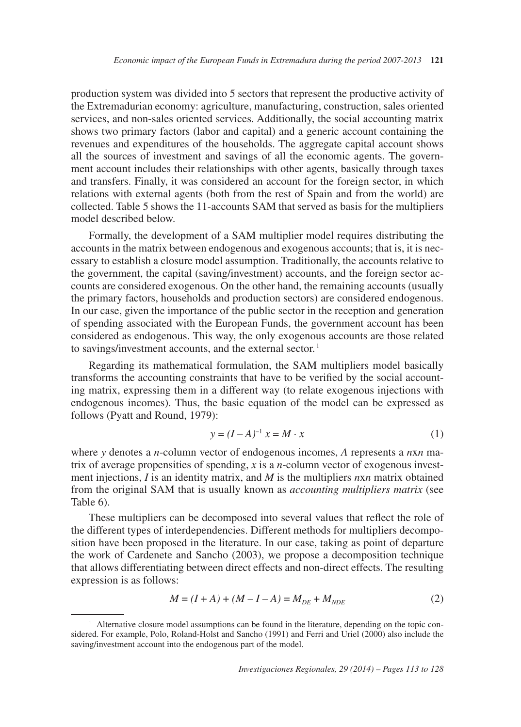production system was divided into 5 sectors that represent the productive activity of the Extremadurian economy: agriculture, manufacturing, construction, sales oriented services, and non-sales oriented services. Additionally, the social accounting matrix shows two primary factors (labor and capital) and a generic account containing the revenues and expenditures of the households. The aggregate capital account shows all the sources of investment and savings of all the economic agents. The government account includes their relationships with other agents, basically through taxes and transfers. Finally, it was considered an account for the foreign sector, in which relations with external agents (both from the rest of Spain and from the world) are collected. Table 5 shows the 11-accounts SAM that served as basis for the multipliers model described below.

to savings/investment accounts, and the external sector.<sup>1</sup> Formally, the development of a SAM multiplier model requires distributing the accounts in the matrix between endogenous and exogenous accounts; that is, it is necessary to establish a closure model assumption. Traditionally, the accounts relative to the government, the capital (saving/investment) accounts, and the foreign sector accounts are considered exogenous. On the other hand, the remaining accounts (usually the primary factors, households and production sectors) are considered endogenous. In our case, given the importance of the public sector in the reception and generation of spending associated with the European Funds, the government account has been considered as endogenous. This way, the only exogenous accounts are those related

Regarding its mathematical formulation, the SAM multipliers model basically transforms the accounting constraints that have to be verified by the social accounting matrix, expressing them in a different way (to relate exogenous injections with endogenous incomes). Thus, the basic equation of the model can be expressed as follows (Pyatt and Round, 1979):

$$
y = (I - A)^{-1} x = M \cdot x \tag{1}
$$

where *y* denotes a *n*-column vector of endogenous incomes, *A* represents a *n*x*n* matrix of average propensities of spending, *x* is a *n*-column vector of exogenous investment injections, *I* is an identity matrix, and *M* is the multipliers *n*x*n* matrix obtained from the original SAM that is usually known as *accounting multipliers matrix* (see Table 6).

These multipliers can be decomposed into several values that reflect the role of the different types of interdependencies. Different methods for multipliers decomposition have been proposed in the literature. In our case, taking as point of departure the work of Cardenete and Sancho (2003), we propose a decomposition technique that allows differentiating between direct effects and non-direct effects. The resulting expression is as follows:

$$
M = (I + A) + (M - I - A) = M_{DE} + M_{NDE}
$$
 (2)

<sup>&</sup>lt;sup>1</sup> Alternative closure model assumptions can be found in the literature, depending on the topic considered. For example, Polo, Roland-Holst and Sancho (1991) and Ferri and Uriel (2000) also include the saving/investment account into the endogenous part of the model.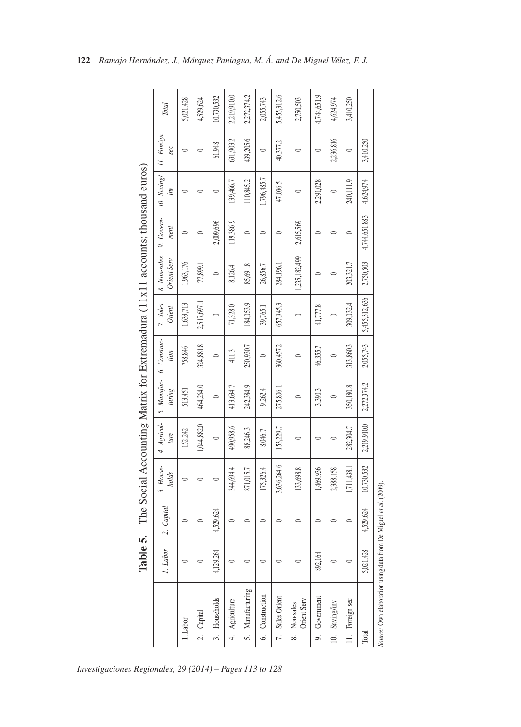|                                      |                   |                  |                    |                     |                                        |           |                           |                             | The Social Accounting Matrix for Extremadura (11x11 accounts; thousand euros) |                                        |           |             |
|--------------------------------------|-------------------|------------------|--------------------|---------------------|----------------------------------------|-----------|---------------------------|-----------------------------|-------------------------------------------------------------------------------|----------------------------------------|-----------|-------------|
|                                      | 1. Labor          | Capial<br>$\sim$ | 3. House-<br>holds | 4. Agricul-<br>ture | $5.$ Manufac- $6.$ Construc-<br>turing | tion      | 7. Sales<br><b>Orient</b> | 8. Non-sales<br>Orient Serv | 9. Govern-<br>ment                                                            | 10. Saving   11. Foreign<br>$\ddot{m}$ | sec       | Total       |
| 1. Labor                             | $\circ$           | $\circ$          | $\circ$            | 152,242             | 513,451                                | 758,846   | 1,633,713                 | 1,963,176                   | $\circ$                                                                       | $\circ$                                | $\circ$   | 5,021,428   |
| Capital<br>ΙÓ.                       | $\circ$           | $\circ$          | $\circ$            | 1,044,882.0         | 464,264.0                              | 324,881.8 | 2,517,697.1               | 177,899.1                   | $\circ$                                                                       | $\circ$                                | $\circ$   | 4,529,624   |
| Households<br>3.                     | .264<br>4,129     | 4,529,624        | $\circ$            | $\circ$             | $\circ$                                | $\circ$   | $\circ$                   | $\circ$                     | 2,009,696                                                                     | $\circ$                                | 61,948    | 10,730,532  |
| Agriculture<br>4                     | $\circ$           | $\circ$          | 344,694.4          | 490,958.6           | 413,634.7                              | 411.3     | 71,328.0                  | 8,126.4                     | 119,386.9                                                                     | 139,466.7                              | 631,903.2 | 2,219,910.0 |
| Manufacturing<br>S.                  | $\circ$           | $\circ$          | 871,015.7          | 88,246.3            | 242,384.9                              | 250,930.7 | 184,053.9                 | 85,691.8                    | $\circ$                                                                       | 110,845.2                              | 439,205.6 | 2,272,374.2 |
| Construction<br>6.                   | $\circ$           | $\circ$          | 175,326.4          | 8,046.7             | 9,262.4                                | $\circ$   | 39,765.1                  | 26,856.7                    | $\circ$                                                                       | 1,796,485.7                            | $\circ$   | 2,055,743   |
| Sales Orient<br>Ĩ,                   | $\circ$           | $\circ$          | 3,636,264.6        | 153,229.7           | 275,806.1                              | 360,457.2 | 657,945.3                 | 284,196.1                   | $\circ$                                                                       | 47,036.5                               | 40,377.2  | 5,455,312.6 |
| Orient Serv<br>Non-sales<br>$\infty$ | $\circ$           | $\circ$          | 133,698.8          | $\circ$             | $\circ$                                | $\circ$   | $\circ$                   | 1,235,182,499               | 2,615,569                                                                     | $\circ$                                | $\circ$   | 2,750,503   |
| Government<br>o.                     | $\bar{R}$<br>892, | $\circ$          | 1,469,936          | $\circ$             | 3,390.3                                | 46,355.7  | 41,777.8                  | $\circ$                     | $\circ$                                                                       | 2,291,028                              | $\circ$   | 4,744,651.9 |
| Saving/inv<br>$\supseteq$            | $\circ$           | $\circ$          | 2,388,158          | $\circ$             | $\circ$                                | $\circ$   | $\circ$                   | $\circ$                     | $\circ$                                                                       | $\circ$                                | 2,236,816 | 4,624,974   |
| Foreign sec<br>$\equiv$              | $\circ$           | $\circ$          | 1,711,438.1        | 282,304.7           | 350,180.8                              | 313,860.3 | 309,032.4                 | 203,321.7                   | $\circ$                                                                       | 240,111.9                              | $\circ$   | 3,410,250   |
| Total                                | 428<br>5,021      | 4,529,624        | 10,730,532         | 2,219,910.0         | 2,272,374.2                            | 2,055,743 | 5,455,312,636             | 2,750,503                   | 4,744,651.883                                                                 | 4,624,974                              | 3,410,250 |             |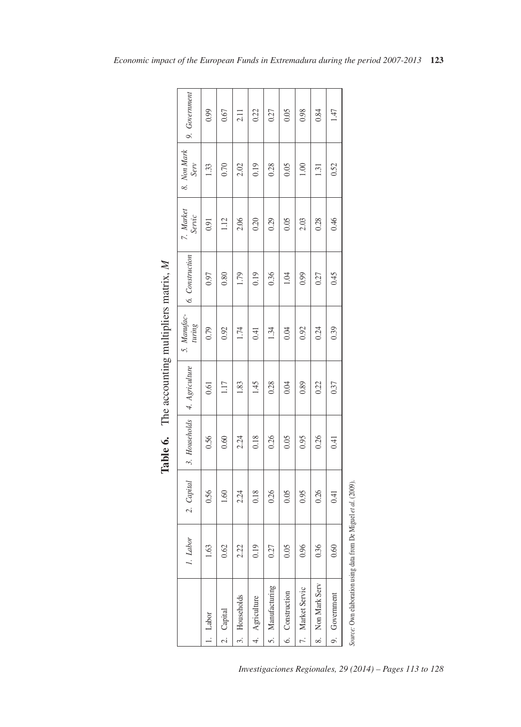|                                               | 9. Government                  | 0.99  | 0.67           | 2.11       | 0.22        | 0.27             | 0.05            | 0.98             | 0.84             | 147           |
|-----------------------------------------------|--------------------------------|-------|----------------|------------|-------------|------------------|-----------------|------------------|------------------|---------------|
|                                               | 8. Non Mark<br>Serv            | 1.33  | 0.70           | 2.02       | 0.19        | 0.28             | 0.05            | 1.00             | 1.31             | 0.52          |
|                                               | 7. Market<br>Servic            | 0.91  | 1.12           | 2.06       | 0.20        | 0.29             | 0.05            | 2.03             | 0.28             | 0.46          |
|                                               | 6. Construction                | 0.97  | 0.80           | 1.79       | 0.19        | 0.36             | 1.04            | 0.99             | 0.27             | 0.45          |
|                                               | 5. Manufac-<br>turing          | 0.79  | 0.92           | 1.74       | 0.41        | 1.34             | 0.04            | 0.92             | 0.24             | 0.39          |
|                                               |                                | 0.61  | 1.17           | 1.83       | 1.45        | 0.28             | 0.04            | 0.89             | 0.22             | 0.37          |
| Table 6. The accounting multipliers matrix, M | 3. Households   4. Agriculture | 0.56  | 0.60           | 2.24       | 0.18        | 0.26             | 0.05            | 0.95             | 0.26             | 0.41          |
|                                               | 2. Capital                     | 0.56  | 1.60           | 2.24       | 0.18        | 0.26             | 0.05            | 0.95             | 0.26             | 0.41          |
|                                               | <b>Labor</b>                   | 1.63  | 0.62           | 2.22       | 0.19        | 0.27             | 0.05            | 0.96             | 0.36             | 0.60          |
|                                               |                                | Labor | Capital        | Households | Agriculture | 5. Manufacturing | 6. Construction | 7. Market Servic | 8. Non Mark Serv | 9. Government |
|                                               |                                |       | $\overline{c}$ |            |             |                  |                 |                  |                  |               |

| $\sim$ $\sim$ $\sim$ $+$ $\sim$ $\sim$ $\sim$ |
|-----------------------------------------------|
|                                               |
| ho noontham montham han<br>$\frac{1}{2}$      |
| :<br>Ī                                        |
|                                               |

*Investigaciones Regionales, 29 (2014) – Pages 113 to 128*

*Source:* Own elaboration using data from De Miguel *et al.* (2009).

Source: Own elaboration using data from De Miguel et al. (2009).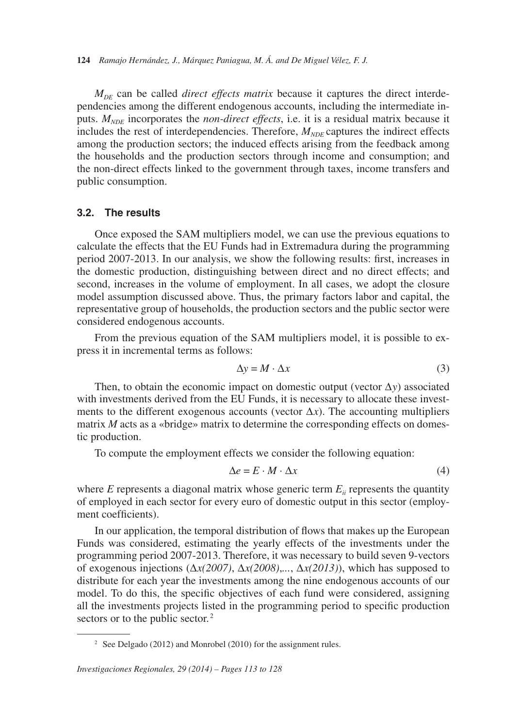$M_{DF}$  can be called *direct effects matrix* because it captures the direct interdependencies among the different endogenous accounts, including the intermediate inputs.  $M_{NDE}$  incorporates the *non-direct effects*, i.e. it is a residual matrix because it includes the rest of interdependencies. Therefore,  $M_{NDE}$  captures the indirect effects among the production sectors; the induced effects arising from the feedback among the households and the production sectors through income and consumption; and the non-direct effects linked to the government through taxes, income transfers and public consumption.

#### **3.2. The results**

Once exposed the SAM multipliers model, we can use the previous equations to calculate the effects that the EU Funds had in Extremadura during the programming period 2007-2013. In our analysis, we show the following results: first, increases in the domestic production, distinguishing between direct and no direct effects; and second, increases in the volume of employment. In all cases, we adopt the closure model assumption discussed above. Thus, the primary factors labor and capital, the representative group of households, the production sectors and the public sector were considered endogenous accounts.

From the previous equation of the SAM multipliers model, it is possible to express it in incremental terms as follows:

$$
\Delta y = M \cdot \Delta x \tag{3}
$$

Then, to obtain the economic impact on domestic output (vector ∆*y*) associated with investments derived from the EU Funds, it is necessary to allocate these investments to the different exogenous accounts (vector  $\Delta x$ ). The accounting multipliers matrix *M* acts as a «bridge» matrix to determine the corresponding effects on domestic production.

To compute the employment effects we consider the following equation:

$$
\Delta e = E \cdot M \cdot \Delta x \tag{4}
$$

where  $E$  represents a diagonal matrix whose generic term  $E_{ii}$  represents the quantity of employed in each sector for every euro of domestic output in this sector (employment coefficients).

sectors or to the public sector.<sup>2</sup> In our application, the temporal distribution of flows that makes up the European Funds was considered, estimating the yearly effects of the investments under the programming period 2007-2013. Therefore, it was necessary to build seven 9-vectors of exogenous injections (∆*x(2007)*, ∆*x(2008)*,*...*, ∆*x(2013)*), which has supposed to distribute for each year the investments among the nine endogenous accounts of our model. To do this, the specific objectives of each fund were considered, assigning all the investments projects listed in the programming period to specific production

<sup>&</sup>lt;sup>2</sup> See Delgado (2012) and Monrobel (2010) for the assignment rules.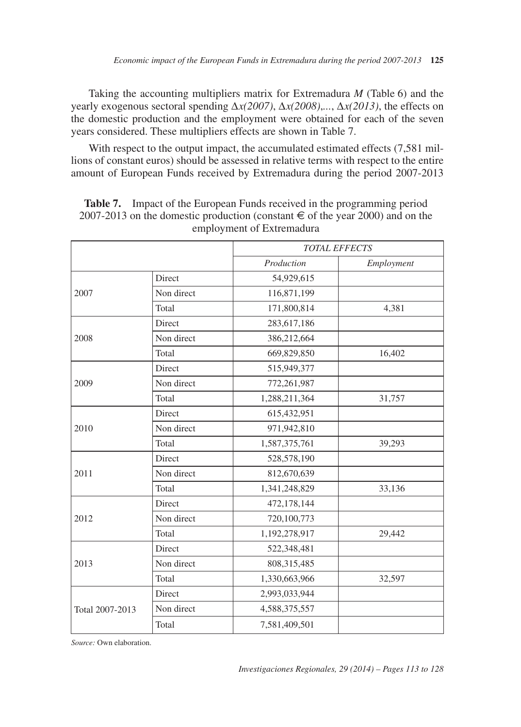Taking the accounting multipliers matrix for Extremadura *M* (Table 6) and the yearly exogenous sectoral spending ∆*x(2007)*, ∆*x(2008)*,*...*, ∆*x(2013)*, the effects on the domestic production and the employment were obtained for each of the seven years considered. These multipliers effects are shown in Table 7.

With respect to the output impact, the accumulated estimated effects (7,581 millions of constant euros) should be assessed in relative terms with respect to the entire amount of European Funds received by Extremadura during the period 2007-2013

|                 |            | <b>TOTAL EFFECTS</b> |            |
|-----------------|------------|----------------------|------------|
|                 |            | Production           | Employment |
|                 | Direct     | 54,929,615           |            |
| 2007            | Non direct | 116,871,199          |            |
|                 | Total      | 171,800,814          | 4,381      |
|                 | Direct     | 283,617,186          |            |
| 2008            | Non direct | 386,212,664          |            |
|                 | Total      | 669,829,850          | 16,402     |
|                 | Direct     | 515,949,377          |            |
| 2009            | Non direct | 772,261,987          |            |
|                 | Total      | 1,288,211,364        | 31,757     |
|                 | Direct     | 615,432,951          |            |
| 2010            | Non direct | 971,942,810          |            |
|                 | Total      | 1,587,375,761        | 39,293     |
|                 | Direct     | 528,578,190          |            |
| 2011            | Non direct | 812,670,639          |            |
|                 | Total      | 1,341,248,829        | 33,136     |
|                 | Direct     | 472,178,144          |            |
| 2012            | Non direct | 720,100,773          |            |
|                 | Total      | 1,192,278,917        | 29,442     |
|                 | Direct     | 522,348,481          |            |
| 2013            | Non direct | 808,315,485          |            |
|                 | Total      | 1,330,663,966        | 32,597     |
|                 | Direct     | 2,993,033,944        |            |
| Total 2007-2013 | Non direct | 4,588,375,557        |            |
|                 | Total      | 7,581,409,501        |            |

**Table 7.** Impact of the European Funds received in the programming period 2007-2013 on the domestic production (constant  $\epsilon$  of the year 2000) and on the employment of Extremadura

*Source:* Own elaboration.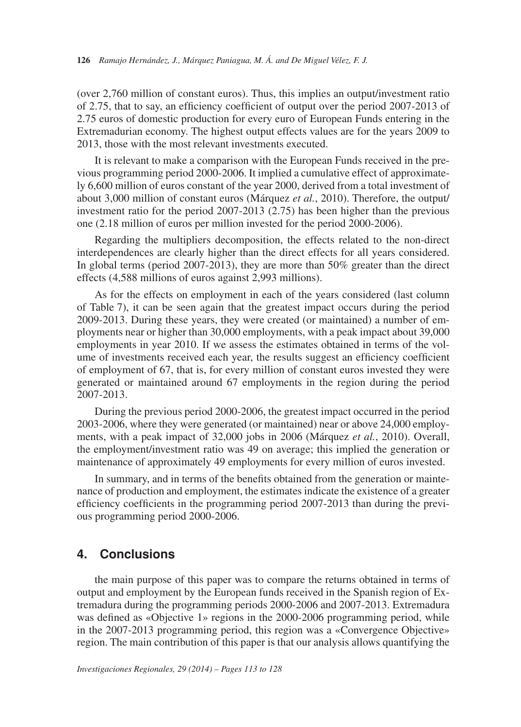(over 2,760 million of constant euros). Thus, this implies an output/investment ratio of 2.75, that to say, an efficiency coefficient of output over the period 2007-2013 of 2.75 euros of domestic production for every euro of European Funds entering in the Extremadurian economy. The highest output effects values are for the years 2009 to 2013, those with the most relevant investments executed.

It is relevant to make a comparison with the European Funds received in the previous programming period 2000-2006. It implied a cumulative effect of approximately 6,600 million of euros constant of the year 2000, derived from a total investment of about 3,000 million of constant euros (Márquez *et al.*, 2010). Therefore, the output/ investment ratio for the period 2007-2013 (2.75) has been higher than the previous one (2.18 million of euros per million invested for the period 2000-2006).

Regarding the multipliers decomposition, the effects related to the non-direct interdependences are clearly higher than the direct effects for all years considered. In global terms (period 2007-2013), they are more than 50% greater than the direct effects (4,588 millions of euros against 2,993 millions).

As for the effects on employment in each of the years considered (last column of Table 7), it can be seen again that the greatest impact occurs during the period 2009-2013. During these years, they were created (or maintained) a number of employments near or higher than 30,000 employments, with a peak impact about 39,000 employments in year 2010. If we assess the estimates obtained in terms of the volume of investments received each year, the results suggest an efficiency coefficient of employment of 67, that is, for every million of constant euros invested they were generated or maintained around 67 employments in the region during the period 2007-2013.

During the previous period 2000-2006, the greatest impact occurred in the period 2003-2006, where they were generated (or maintained) near or above 24,000 employments, with a peak impact of 32,000 jobs in 2006 (Márquez *et al.*, 2010). Overall, the employment/investment ratio was 49 on average; this implied the generation or maintenance of approximately 49 employments for every million of euros invested.

In summary, and in terms of the benefits obtained from the generation or maintenance of production and employment, the estimates indicate the existence of a greater efficiency coefficients in the programming period 2007-2013 than during the previous programming period 2000-2006.

## **4. Conclusions**

the main purpose of this paper was to compare the returns obtained in terms of output and employment by the European funds received in the Spanish region of Extremadura during the programming periods 2000-2006 and 2007-2013. Extremadura was defined as «Objective 1» regions in the 2000-2006 programming period, while in the 2007-2013 programming period, this region was a «Convergence Objective» region. The main contribution of this paper is that our analysis allows quantifying the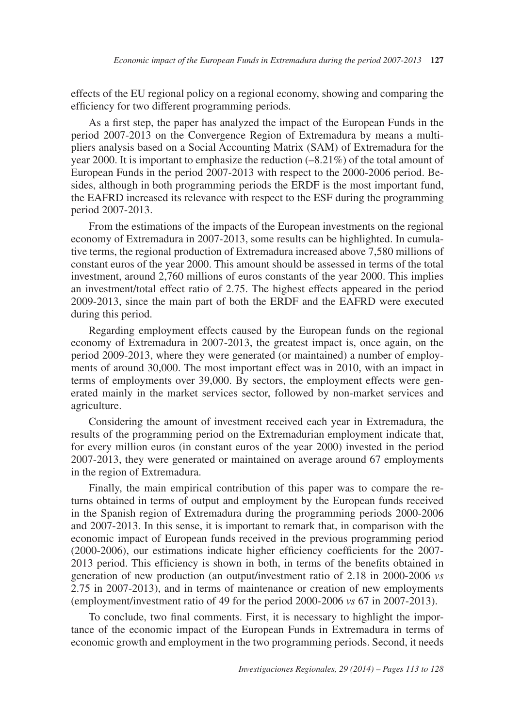effects of the EU regional policy on a regional economy, showing and comparing the efficiency for two different programming periods.

As a first step, the paper has analyzed the impact of the European Funds in the period 2007-2013 on the Convergence Region of Extremadura by means a multipliers analysis based on a Social Accounting Matrix (SAM) of Extremadura for the year 2000. It is important to emphasize the reduction (–8.21%) of the total amount of European Funds in the period 2007-2013 with respect to the 2000-2006 period. Besides, although in both programming periods the ERDF is the most important fund, the EAFRD increased its relevance with respect to the ESF during the programming period 2007-2013.

From the estimations of the impacts of the European investments on the regional economy of Extremadura in 2007-2013, some results can be highlighted. In cumulative terms, the regional production of Extremadura increased above 7,580 millions of constant euros of the year 2000. This amount should be assessed in terms of the total investment, around 2,760 millions of euros constants of the year 2000. This implies an investment/total effect ratio of 2.75. The highest effects appeared in the period 2009-2013, since the main part of both the ERDF and the EAFRD were executed during this period.

Regarding employment effects caused by the European funds on the regional economy of Extremadura in 2007-2013, the greatest impact is, once again, on the period 2009-2013, where they were generated (or maintained) a number of employments of around 30,000. The most important effect was in 2010, with an impact in terms of employments over 39,000. By sectors, the employment effects were generated mainly in the market services sector, followed by non-market services and agriculture.

Considering the amount of investment received each year in Extremadura, the results of the programming period on the Extremadurian employment indicate that, for every million euros (in constant euros of the year 2000) invested in the period 2007-2013, they were generated or maintained on average around 67 employments in the region of Extremadura.

Finally, the main empirical contribution of this paper was to compare the returns obtained in terms of output and employment by the European funds received in the Spanish region of Extremadura during the programming periods 2000-2006 and 2007-2013. In this sense, it is important to remark that, in comparison with the economic impact of European funds received in the previous programming period (2000-2006), our estimations indicate higher efficiency coefficients for the 2007 2013 period. This efficiency is shown in both, in terms of the benefits obtained in generation of new production (an output/investment ratio of 2.18 in 2000-2006 *vs* 2.75 in 2007-2013), and in terms of maintenance or creation of new employments (employment/investment ratio of 49 for the period 2000-2006 *vs* 67 in 2007-2013).

To conclude, two final comments. First, it is necessary to highlight the importance of the economic impact of the European Funds in Extremadura in terms of economic growth and employment in the two programming periods. Second, it needs